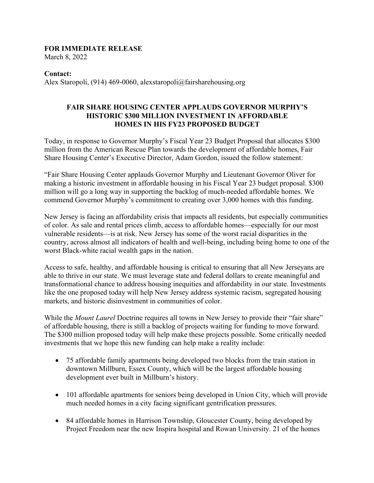## **FOR IMMEDIATE RELEASE**

March 8, 2022

## **Contact:**

Alex Staropoli, (914) 469-0060, alexstaropoli@fairsharehousing.org

## **FAIR SHARE HOUSING CENTER APPLAUDS GOVERNOR MURPHY'S HISTORIC \$300 MILLION INVESTMENT IN AFFORDABLE HOMES IN HIS FY23 PROPOSED BUDGET**

Today, in response to Governor Murphy's Fiscal Year 23 Budget Proposal that allocates \$300 million from the American Rescue Plan towards the development of affordable homes, Fair Share Housing Center's Executive Director, Adam Gordon, issued the follow statement:

"Fair Share Housing Center applauds Governor Murphy and Lieutenant Governor Oliver for making a historic investment in affordable housing in his Fiscal Year 23 budget proposal. \$300 million will go a long way in supporting the backlog of much-needed affordable homes. We commend Governor Murphy's commitment to creating over 3,000 homes with this funding.

New Jersey is facing an affordability crisis that impacts all residents, but especially communities of color. As sale and rental prices climb, access to affordable homes—especially for our most vulnerable residents—is at risk. New Jersey has some of the worst racial disparities in the country, across almost all indicators of health and well-being, including being home to one of the worst Black-white racial wealth gaps in the nation.

Access to safe, healthy, and affordable housing is critical to ensuring that all New Jerseyans are able to thrive in our state. We must leverage state and federal dollars to create meaningful and transformational chance to address housing inequities and affordability in our state. Investments like the one proposed today will help New Jersey address systemic racism, segregated housing markets, and historic disinvestment in communities of color.

While the *Mount Laurel* Doctrine requires all towns in New Jersey to provide their "fair share" of affordable housing, there is still a backlog of projects waiting for funding to move forward. The \$300 million proposed today will help make these projects possible. Some critically needed investments that we hope this new funding can help make a reality include:

- 75 affordable family apartments being developed two blocks from the train station in downtown Millburn, Essex County, which will be the largest affordable housing development ever built in Millburn's history.
- 101 affordable apartments for seniors being developed in Union City, which will provide much needed homes in a city facing significant gentrification pressures.
- 84 affordable homes in Harrison Township, Gloucester County, being developed by Project Freedom near the new Inspira hospital and Rowan University. 21 of the homes